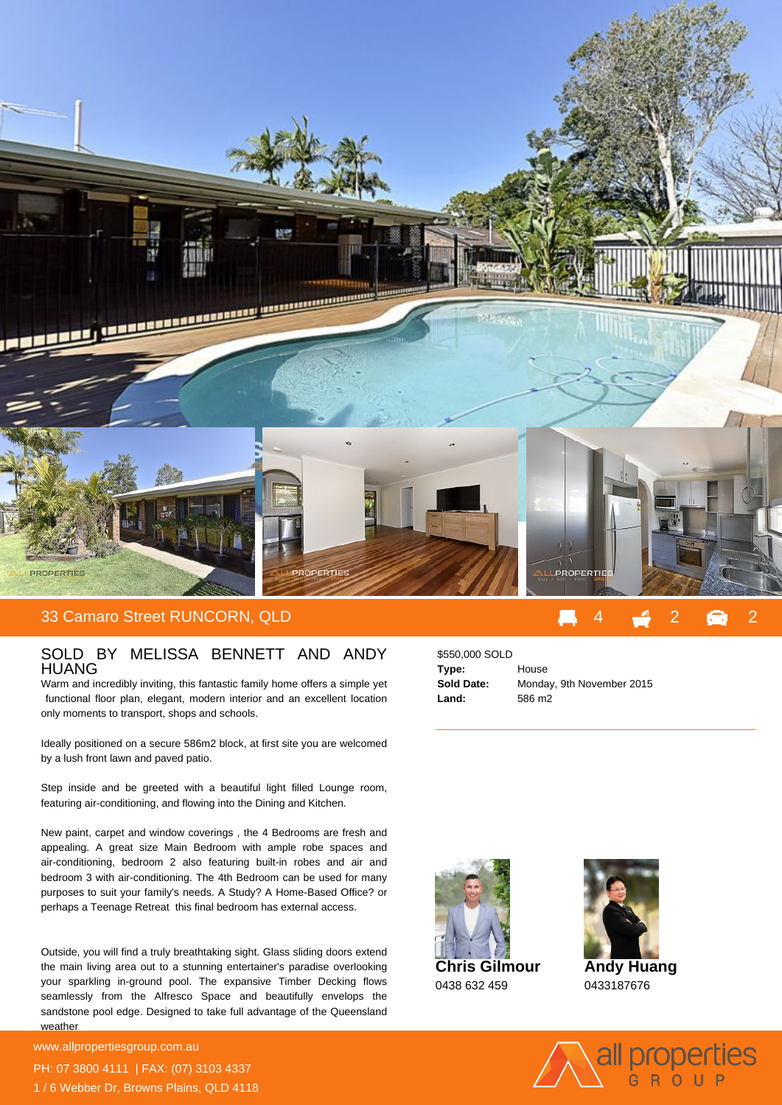

## SOLD BY MELISSA BENNETT AND ANDY HUANG

Warm and incredibly inviting, this fantastic family home offers a simple yet functional floor plan, elegant, modern interior and an excellent location only moments to transport, shops and schools.

Ideally positioned on a secure 586m2 block, at first site you are welcomed by a lush front lawn and paved patio.

Step inside and be greeted with a beautiful light filled Lounge room, featuring air-conditioning, and flowing into the Dining and Kitchen.

New paint, carpet and window coverings , the 4 Bedrooms are fresh and appealing. A great size Main Bedroom with ample robe spaces and air-conditioning, bedroom 2 also featuring built-in robes and air and bedroom 3 with air-conditioning. The 4th Bedroom can be used for many purposes to suit your family's needs. A Study? A Home-Based Office? or perhaps a Teenage Retreat this final bedroom has external access.

Outside, you will find a truly breathtaking sight. Glass sliding doors extend the main living area out to a stunning entertainer's paradise overlooking your sparkling in-ground pool. The expansive Timber Decking flows seamlessly from the Alfresco Space and beautifully envelops the sandstone pool edge. Designed to take full advantage of the Queensland weather

**For more details please visit** www.allpropertiesgroup.com.au PH: 07 3800 4111 | FAX: (07) 3103 4337 1 / 6 Webber Dr, Browns Plains, QLD 4118

## \$550,000 SOLD **Type:** House **Sold Date:** Monday, 9th November 2015 **Land:** 586 m2





**Andy Huang** 0433187676